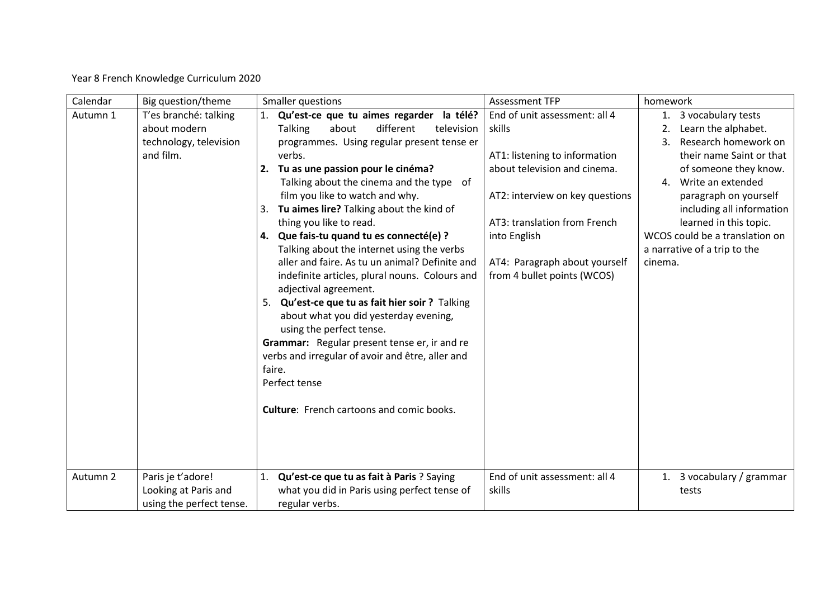Year 8 French Knowledge Curriculum 2020

| Calendar | Big question/theme                                                           | Smaller questions                                                                                                                                                                                                                                                                                                                                                                                                                                                                                                                                                                                                                                                                                                                                                                                                                                                                                  | <b>Assessment TFP</b>                                                                                                                                                                                                                                       | homework                                                                                                                                                                                                                                                                                                                   |  |
|----------|------------------------------------------------------------------------------|----------------------------------------------------------------------------------------------------------------------------------------------------------------------------------------------------------------------------------------------------------------------------------------------------------------------------------------------------------------------------------------------------------------------------------------------------------------------------------------------------------------------------------------------------------------------------------------------------------------------------------------------------------------------------------------------------------------------------------------------------------------------------------------------------------------------------------------------------------------------------------------------------|-------------------------------------------------------------------------------------------------------------------------------------------------------------------------------------------------------------------------------------------------------------|----------------------------------------------------------------------------------------------------------------------------------------------------------------------------------------------------------------------------------------------------------------------------------------------------------------------------|--|
| Autumn 1 | T'es branché: talking<br>about modern<br>technology, television<br>and film. | Qu'est-ce que tu aimes regarder la télé?<br>about<br>different<br><b>Talking</b><br>television<br>programmes. Using regular present tense er<br>verbs.<br>Tu as une passion pour le cinéma?<br>2.<br>Talking about the cinema and the type of<br>film you like to watch and why.<br>Tu aimes lire? Talking about the kind of<br>3.<br>thing you like to read.<br>Que fais-tu quand tu es connecté(e) ?<br>4.<br>Talking about the internet using the verbs<br>aller and faire. As tu un animal? Definite and<br>indefinite articles, plural nouns. Colours and<br>adjectival agreement.<br>5. Qu'est-ce que tu as fait hier soir ? Talking<br>about what you did yesterday evening,<br>using the perfect tense.<br>Grammar: Regular present tense er, ir and re<br>verbs and irregular of avoir and être, aller and<br>faire.<br>Perfect tense<br><b>Culture:</b> French cartoons and comic books. | End of unit assessment: all 4<br>skills<br>AT1: listening to information<br>about television and cinema.<br>AT2: interview on key questions<br>AT3: translation from French<br>into English<br>AT4: Paragraph about yourself<br>from 4 bullet points (WCOS) | 1. 3 vocabulary tests<br>Learn the alphabet.<br>2.<br>Research homework on<br>3.<br>their name Saint or that<br>of someone they know.<br>4. Write an extended<br>paragraph on yourself<br>including all information<br>learned in this topic.<br>WCOS could be a translation on<br>a narrative of a trip to the<br>cinema. |  |
| Autumn 2 | Paris je t'adore!<br>Looking at Paris and<br>using the perfect tense.        | Qu'est-ce que tu as fait à Paris ? Saying<br>1.<br>what you did in Paris using perfect tense of<br>regular verbs.                                                                                                                                                                                                                                                                                                                                                                                                                                                                                                                                                                                                                                                                                                                                                                                  | End of unit assessment: all 4<br>skills                                                                                                                                                                                                                     | 1. 3 vocabulary / grammar<br>tests                                                                                                                                                                                                                                                                                         |  |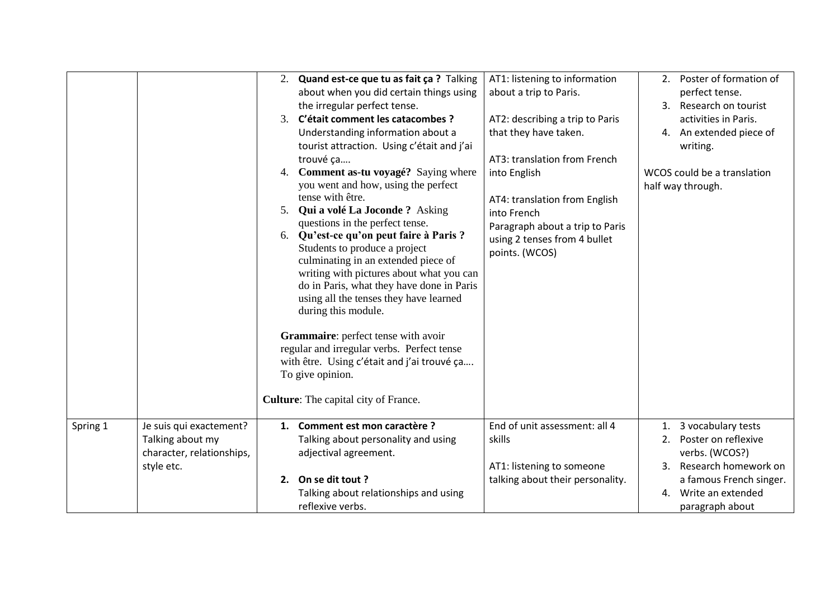|          |                                                                                        | 2. Quand est-ce que tu as fait ça ? Talking<br>about when you did certain things using<br>the irregular perfect tense.<br>3. C'était comment les catacombes ?<br>Understanding information about a<br>tourist attraction. Using c'était and j'ai<br>trouvé ça<br>Comment as-tu voyagé? Saying where<br>4.<br>you went and how, using the perfect<br>tense with être.<br>Qui a volé La Joconde ? Asking<br>5.<br>questions in the perfect tense.<br>Qu'est-ce qu'on peut faire à Paris ?<br>6.<br>Students to produce a project<br>culminating in an extended piece of<br>writing with pictures about what you can<br>do in Paris, what they have done in Paris<br>using all the tenses they have learned<br>during this module.<br>Grammaire: perfect tense with avoir<br>regular and irregular verbs. Perfect tense<br>with être. Using c'était and j'ai trouvé ça<br>To give opinion.<br>Culture: The capital city of France. | AT1: listening to information<br>about a trip to Paris.<br>AT2: describing a trip to Paris<br>that they have taken.<br>AT3: translation from French<br>into English<br>AT4: translation from English<br>into French<br>Paragraph about a trip to Paris<br>using 2 tenses from 4 bullet<br>points. (WCOS) | 2. Poster of formation of<br>perfect tense.<br>3. Research on tourist<br>activities in Paris.<br>4. An extended piece of<br>writing.<br>WCOS could be a translation<br>half way through. |
|----------|----------------------------------------------------------------------------------------|---------------------------------------------------------------------------------------------------------------------------------------------------------------------------------------------------------------------------------------------------------------------------------------------------------------------------------------------------------------------------------------------------------------------------------------------------------------------------------------------------------------------------------------------------------------------------------------------------------------------------------------------------------------------------------------------------------------------------------------------------------------------------------------------------------------------------------------------------------------------------------------------------------------------------------|----------------------------------------------------------------------------------------------------------------------------------------------------------------------------------------------------------------------------------------------------------------------------------------------------------|------------------------------------------------------------------------------------------------------------------------------------------------------------------------------------------|
| Spring 1 | Je suis qui exactement?<br>Talking about my<br>character, relationships,<br>style etc. | 1. Comment est mon caractère ?<br>Talking about personality and using<br>adjectival agreement.<br>2. On se dit tout ?<br>Talking about relationships and using<br>reflexive verbs.                                                                                                                                                                                                                                                                                                                                                                                                                                                                                                                                                                                                                                                                                                                                              | End of unit assessment: all 4<br>skills<br>AT1: listening to someone<br>talking about their personality.                                                                                                                                                                                                 | 1. 3 vocabulary tests<br>2. Poster on reflexive<br>verbs. (WCOS?)<br>3. Research homework on<br>a famous French singer.<br>4. Write an extended<br>paragraph about                       |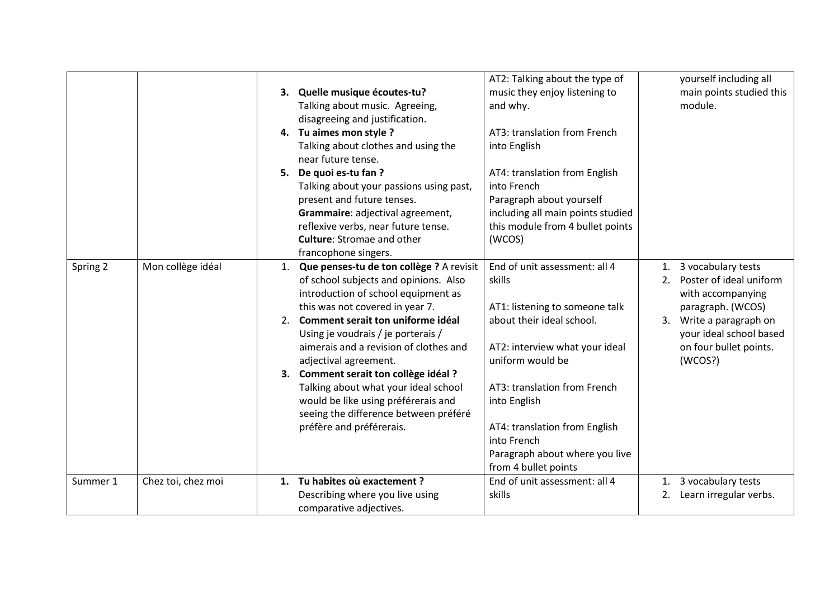|          |                    |    |                                             | AT2: Talking about the type of    |    | yourself including all   |
|----------|--------------------|----|---------------------------------------------|-----------------------------------|----|--------------------------|
|          |                    |    | 3. Quelle musique écoutes-tu?               | music they enjoy listening to     |    | main points studied this |
|          |                    |    | Talking about music. Agreeing,              | and why.                          |    | module.                  |
|          |                    |    | disagreeing and justification.              |                                   |    |                          |
|          |                    |    | 4. Tu aimes mon style ?                     | AT3: translation from French      |    |                          |
|          |                    |    | Talking about clothes and using the         | into English                      |    |                          |
|          |                    |    | near future tense.                          |                                   |    |                          |
|          |                    | 5. | De quoi es-tu fan?                          | AT4: translation from English     |    |                          |
|          |                    |    | Talking about your passions using past,     | into French                       |    |                          |
|          |                    |    | present and future tenses.                  | Paragraph about yourself          |    |                          |
|          |                    |    | Grammaire: adjectival agreement,            | including all main points studied |    |                          |
|          |                    |    | reflexive verbs, near future tense.         | this module from 4 bullet points  |    |                          |
|          |                    |    | <b>Culture:</b> Stromae and other           | (WCOS)                            |    |                          |
|          |                    |    | francophone singers.                        |                                   |    |                          |
| Spring 2 | Mon collège idéal  |    | 1. Que penses-tu de ton collège ? A revisit | End of unit assessment: all 4     | 1. | 3 vocabulary tests       |
|          |                    |    | of school subjects and opinions. Also       | skills                            | 2. | Poster of ideal uniform  |
|          |                    |    | introduction of school equipment as         |                                   |    | with accompanying        |
|          |                    |    | this was not covered in year 7.             | AT1: listening to someone talk    |    | paragraph. (WCOS)        |
|          |                    |    | 2. Comment serait ton uniforme idéal        | about their ideal school.         |    | 3. Write a paragraph on  |
|          |                    |    | Using je voudrais / je porterais /          |                                   |    | your ideal school based  |
|          |                    |    | aimerais and a revision of clothes and      | AT2: interview what your ideal    |    | on four bullet points.   |
|          |                    |    | adjectival agreement.                       | uniform would be                  |    | (WCOS?)                  |
|          |                    |    | 3. Comment serait ton collège idéal ?       |                                   |    |                          |
|          |                    |    | Talking about what your ideal school        | AT3: translation from French      |    |                          |
|          |                    |    | would be like using préférerais and         | into English                      |    |                          |
|          |                    |    | seeing the difference between préféré       |                                   |    |                          |
|          |                    |    | préfère and préférerais.                    | AT4: translation from English     |    |                          |
|          |                    |    |                                             | into French                       |    |                          |
|          |                    |    |                                             | Paragraph about where you live    |    |                          |
|          |                    |    |                                             | from 4 bullet points              |    |                          |
| Summer 1 | Chez toi, chez moi |    | 1. Tu habites où exactement ?               | End of unit assessment: all 4     | 1. | 3 vocabulary tests       |
|          |                    |    | Describing where you live using             | skills                            | 2. | Learn irregular verbs.   |
|          |                    |    | comparative adjectives.                     |                                   |    |                          |